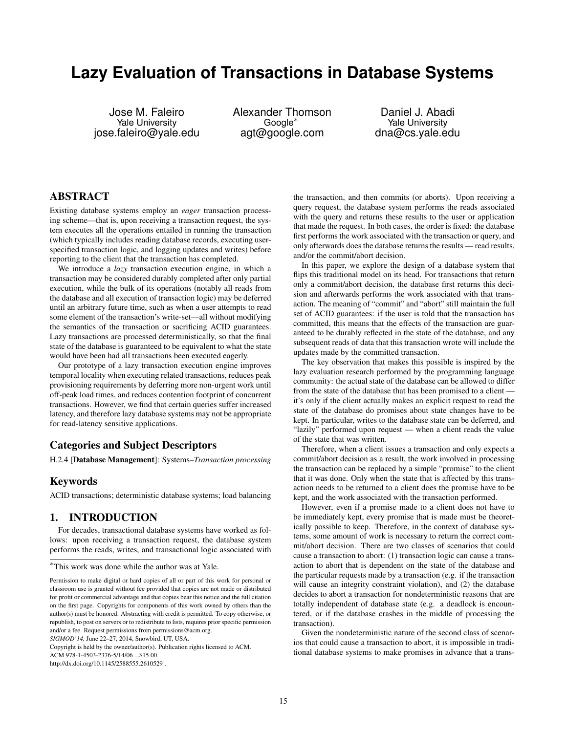# **Lazy Evaluation of Transactions in Database Systems**

Jose M. Faleiro Yale University jose.faleiro@yale.edu Alexander Thomson Google<sup>∗</sup> agt@google.com

Daniel J. Abadi Yale University dna@cs.yale.edu

# ABSTRACT

Existing database systems employ an *eager* transaction processing scheme—that is, upon receiving a transaction request, the system executes all the operations entailed in running the transaction (which typically includes reading database records, executing userspecified transaction logic, and logging updates and writes) before reporting to the client that the transaction has completed.

We introduce a *lazy* transaction execution engine, in which a transaction may be considered durably completed after only partial execution, while the bulk of its operations (notably all reads from the database and all execution of transaction logic) may be deferred until an arbitrary future time, such as when a user attempts to read some element of the transaction's write-set—all without modifying the semantics of the transaction or sacrificing ACID guarantees. Lazy transactions are processed deterministically, so that the final state of the database is guaranteed to be equivalent to what the state would have been had all transactions been executed eagerly.

Our prototype of a lazy transaction execution engine improves temporal locality when executing related transactions, reduces peak provisioning requirements by deferring more non-urgent work until off-peak load times, and reduces contention footprint of concurrent transactions. However, we find that certain queries suffer increased latency, and therefore lazy database systems may not be appropriate for read-latency sensitive applications.

### Categories and Subject Descriptors

H.2.4 [Database Management]: Systems–*Transaction processing*

### Keywords

ACID transactions; deterministic database systems; load balancing

### 1. INTRODUCTION

For decades, transactional database systems have worked as follows: upon receiving a transaction request, the database system performs the reads, writes, and transactional logic associated with

*SIGMOD'14,* June 22–27, 2014, Snowbird, UT, USA.

ACM 978-1-4503-2376-5/14/06 ...\$15.00.

the transaction, and then commits (or aborts). Upon receiving a query request, the database system performs the reads associated with the query and returns these results to the user or application that made the request. In both cases, the order is fixed: the database first performs the work associated with the transaction or query, and only afterwards does the database returns the results — read results, and/or the commit/abort decision.

In this paper, we explore the design of a database system that flips this traditional model on its head. For transactions that return only a commit/abort decision, the database first returns this decision and afterwards performs the work associated with that transaction. The meaning of "commit" and "abort" still maintain the full set of ACID guarantees: if the user is told that the transaction has committed, this means that the effects of the transaction are guaranteed to be durably reflected in the state of the database, and any subsequent reads of data that this transaction wrote will include the updates made by the committed transaction.

The key observation that makes this possible is inspired by the lazy evaluation research performed by the programming language community: the actual state of the database can be allowed to differ from the state of the database that has been promised to a client it's only if the client actually makes an explicit request to read the state of the database do promises about state changes have to be kept. In particular, writes to the database state can be deferred, and "lazily" performed upon request — when a client reads the value of the state that was written.

Therefore, when a client issues a transaction and only expects a commit/abort decision as a result, the work involved in processing the transaction can be replaced by a simple "promise" to the client that it was done. Only when the state that is affected by this transaction needs to be returned to a client does the promise have to be kept, and the work associated with the transaction performed.

However, even if a promise made to a client does not have to be immediately kept, every promise that is made must be theoretically possible to keep. Therefore, in the context of database systems, some amount of work is necessary to return the correct commit/abort decision. There are two classes of scenarios that could cause a transaction to abort: (1) transaction logic can cause a transaction to abort that is dependent on the state of the database and the particular requests made by a transaction (e.g. if the transaction will cause an integrity constraint violation), and (2) the database decides to abort a transaction for nondeterministic reasons that are totally independent of database state (e.g. a deadlock is encountered, or if the database crashes in the middle of processing the transaction).

Given the nondeterministic nature of the second class of scenarios that could cause a transaction to abort, it is impossible in traditional database systems to make promises in advance that a trans-

<sup>∗</sup>This work was done while the author was at Yale.

Permission to make digital or hard copies of all or part of this work for personal or classroom use is granted without fee provided that copies are not made or distributed for profit or commercial advantage and that copies bear this notice and the full citation on the first page. Copyrights for components of this work owned by others than the author(s) must be honored. Abstracting with credit is permitted. To copy otherwise, or republish, to post on servers or to redistribute to lists, requires prior specific permission and/or a fee. Request permissions from permissions@acm.org.

Copyright is held by the owner/author(s). Publication rights licensed to ACM.

http://dx.doi.org/10.1145/2588555.2610529 .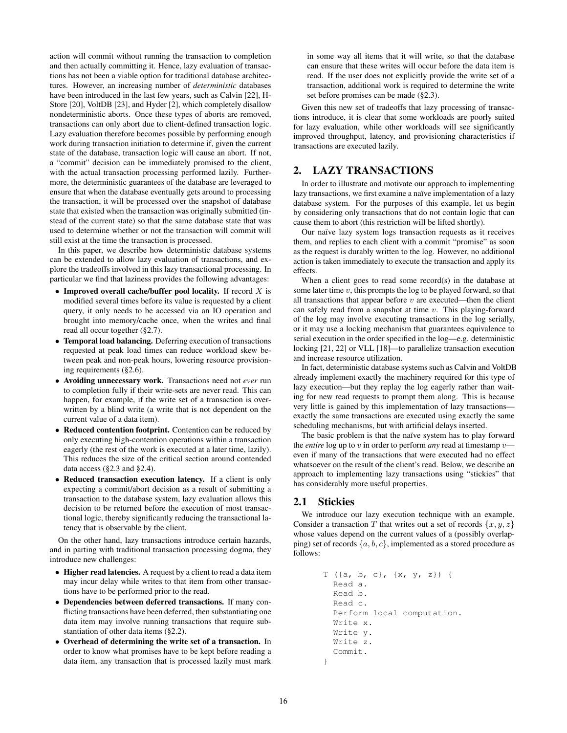action will commit without running the transaction to completion and then actually committing it. Hence, lazy evaluation of transactions has not been a viable option for traditional database architectures. However, an increasing number of *deterministic* databases have been introduced in the last few years, such as Calvin [22], H-Store [20], VoltDB [23], and Hyder [2], which completely disallow nondeterministic aborts. Once these types of aborts are removed, transactions can only abort due to client-defined transaction logic. Lazy evaluation therefore becomes possible by performing enough work during transaction initiation to determine if, given the current state of the database, transaction logic will cause an abort. If not, a "commit" decision can be immediately promised to the client, with the actual transaction processing performed lazily. Furthermore, the deterministic guarantees of the database are leveraged to ensure that when the database eventually gets around to processing the transaction, it will be processed over the snapshot of database state that existed when the transaction was originally submitted (instead of the current state) so that the same database state that was used to determine whether or not the transaction will commit will still exist at the time the transaction is processed.

In this paper, we describe how deterministic database systems can be extended to allow lazy evaluation of transactions, and explore the tradeoffs involved in this lazy transactional processing. In particular we find that laziness provides the following advantages:

- Improved overall cache/buffer pool locality. If record  $X$  is modified several times before its value is requested by a client query, it only needs to be accessed via an IO operation and brought into memory/cache once, when the writes and final read all occur together (§2.7).
- Temporal load balancing. Deferring execution of transactions requested at peak load times can reduce workload skew between peak and non-peak hours, lowering resource provisioning requirements (§2.6).
- Avoiding unnecessary work. Transactions need not *ever* run to completion fully if their write-sets are never read. This can happen, for example, if the write set of a transaction is overwritten by a blind write (a write that is not dependent on the current value of a data item).
- Reduced contention footprint. Contention can be reduced by only executing high-contention operations within a transaction eagerly (the rest of the work is executed at a later time, lazily). This reduces the size of the critical section around contended data access (§2.3 and §2.4).
- Reduced transaction execution latency. If a client is only expecting a commit/abort decision as a result of submitting a transaction to the database system, lazy evaluation allows this decision to be returned before the execution of most transactional logic, thereby significantly reducing the transactional latency that is observable by the client.

On the other hand, lazy transactions introduce certain hazards, and in parting with traditional transaction processing dogma, they introduce new challenges:

- Higher read latencies. A request by a client to read a data item may incur delay while writes to that item from other transactions have to be performed prior to the read.
- Dependencies between deferred transactions. If many conflicting transactions have been deferred, then substantiating one data item may involve running transactions that require substantiation of other data items (§2.2).
- Overhead of determining the write set of a transaction. In order to know what promises have to be kept before reading a data item, any transaction that is processed lazily must mark

in some way all items that it will write, so that the database can ensure that these writes will occur before the data item is read. If the user does not explicitly provide the write set of a transaction, additional work is required to determine the write set before promises can be made (§2.3).

Given this new set of tradeoffs that lazy processing of transactions introduce, it is clear that some workloads are poorly suited for lazy evaluation, while other workloads will see significantly improved throughput, latency, and provisioning characteristics if transactions are executed lazily.

## 2. LAZY TRANSACTIONS

In order to illustrate and motivate our approach to implementing lazy transactions, we first examine a naïve implementation of a lazy database system. For the purposes of this example, let us begin by considering only transactions that do not contain logic that can cause them to abort (this restriction will be lifted shortly).

Our naïve lazy system logs transaction requests as it receives them, and replies to each client with a commit "promise" as soon as the request is durably written to the log. However, no additional action is taken immediately to execute the transaction and apply its effects.

When a client goes to read some record(s) in the database at some later time  $v$ , this prompts the log to be played forward, so that all transactions that appear before  $v$  are executed—then the client can safely read from a snapshot at time  $v$ . This playing-forward of the log may involve executing transactions in the log serially, or it may use a locking mechanism that guarantees equivalence to serial execution in the order specified in the log—e.g. deterministic locking [21, 22] or VLL [18]—to parallelize transaction execution and increase resource utilization.

In fact, deterministic database systems such as Calvin and VoltDB already implement exactly the machinery required for this type of lazy execution—but they replay the log eagerly rather than waiting for new read requests to prompt them along. This is because very little is gained by this implementation of lazy transactions exactly the same transactions are executed using exactly the same scheduling mechanisms, but with artificial delays inserted.

The basic problem is that the naïve system has to play forward the *entire* log up to v in order to perform *any* read at timestamp  $v$  even if many of the transactions that were executed had no effect whatsoever on the result of the client's read. Below, we describe an approach to implementing lazy transactions using "stickies" that has considerably more useful properties.

# 2.1 Stickies

We introduce our lazy execution technique with an example. Consider a transaction T that writes out a set of records  $\{x, y, z\}$ whose values depend on the current values of a (possibly overlapping) set of records  $\{a, b, c\}$ , implemented as a stored procedure as follows:

```
T ({a, b, c}, {x, y, z}) {
  Read a.
  Read b.
  Read c.
  Perform local computation.
  Write x.
 Write y.
  Write z.
  Commit.
}
```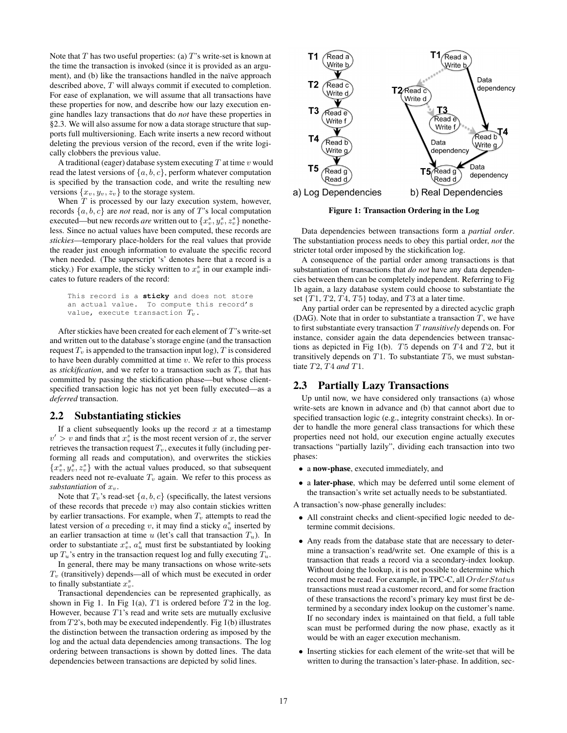Note that  $T$  has two useful properties: (a)  $T$ 's write-set is known at the time the transaction is invoked (since it is provided as an argument), and (b) like the transactions handled in the naïve approach described above, T will always commit if executed to completion. For ease of explanation, we will assume that all transactions have these properties for now, and describe how our lazy execution engine handles lazy transactions that do *not* have these properties in §2.3. We will also assume for now a data storage structure that supports full multiversioning. Each write inserts a new record without deleting the previous version of the record, even if the write logically clobbers the previous value.

A traditional (eager) database system executing  $T$  at time  $v$  would read the latest versions of  $\{a, b, c\}$ , perform whatever computation is specified by the transaction code, and write the resulting new versions  $\{x_v, y_v, z_v\}$  to the storage system.

When  $T$  is processed by our lazy execution system, however, records  $\{a, b, c\}$  are *not* read, nor is any of T's local computation executed—but new records *are* written out to  $\{x_v^s, y_v^s, z_v^s\}$  nonetheless. Since no actual values have been computed, these records are *stickies*—temporary place-holders for the real values that provide the reader just enough information to evaluate the specific record when needed. (The superscript 's' denotes here that a record is a sticky.) For example, the sticky written to  $x_v^s$  in our example indicates to future readers of the record:

```
This record is a sticky and does not store
an actual value. To compute this record's
value, execute transaction T_v.
```
After stickies have been created for each element of T's write-set and written out to the database's storage engine (and the transaction request  $T_v$  is appended to the transaction input log),  $T$  is considered to have been durably committed at time  $v$ . We refer to this process as *stickification*, and we refer to a transaction such as  $T_v$  that has committed by passing the stickification phase—but whose clientspecified transaction logic has not yet been fully executed—as a *deferred* transaction.

### 2.2 Substantiating stickies

If a client subsequently looks up the record  $x$  at a timestamp  $v' > v$  and finds that  $x_v^s$  is the most recent version of x, the server retrieves the transaction request  $T_v$ , executes it fully (including performing all reads and computation), and overwrites the stickies  ${x<sub>v</sub><sup>s</sup>, y<sub>v</sub><sup>s</sup>, z<sub>v</sub><sup>s</sup>}$  with the actual values produced, so that subsequent readers need not re-evaluate  $T_v$  again. We refer to this process as *substantiation* of  $x_v$ .

Note that  $T_v$ 's read-set  $\{a, b, c\}$  (specifically, the latest versions of these records that precede  $v$ ) may also contain stickies written by earlier transactions. For example, when  $T<sub>v</sub>$  attempts to read the latest version of a preceding v, it may find a sticky  $a_u^s$  inserted by an earlier transaction at time u (let's call that transaction  $T_u$ ). In order to substantiate  $x_v^s$ ,  $a_u^s$  must first be substantiated by looking up  $T_u$ 's entry in the transaction request log and fully executing  $T_u$ .

In general, there may be many transactions on whose write-sets  $T<sub>v</sub>$  (transitively) depends—all of which must be executed in order to finally substantiate  $x_v^s$ .

Transactional dependencies can be represented graphically, as shown in Fig 1. In Fig 1(a),  $T1$  is ordered before  $T2$  in the log. However, because  $T1$ 's read and write sets are mutually exclusive from  $T2$ 's, both may be executed independently. Fig 1(b) illustrates the distinction between the transaction ordering as imposed by the log and the actual data dependencies among transactions. The log ordering between transactions is shown by dotted lines. The data dependencies between transactions are depicted by solid lines.



Figure 1: Transaction Ordering in the Log

Data dependencies between transactions form a *partial order*. The substantiation process needs to obey this partial order, *not* the stricter total order imposed by the stickification log.

A consequence of the partial order among transactions is that substantiation of transactions that *do not* have any data dependencies between them can be completely independent. Referring to Fig 1b again, a lazy database system could choose to substantiate the set  $\{T1, T2, T4, T5\}$  today, and T3 at a later time.

Any partial order can be represented by a directed acyclic graph (DAG). Note that in order to substantiate a transaction  $T$ , we have to first substantiate every transaction T *transitively* depends on. For instance, consider again the data dependencies between transactions as depicted in Fig 1(b).  $T5$  depends on  $T4$  and  $T2$ , but it transitively depends on  $T1$ . To substantiate  $T5$ , we must substantiate T2, T4 *and* T1.

### 2.3 Partially Lazy Transactions

Up until now, we have considered only transactions (a) whose write-sets are known in advance and (b) that cannot abort due to specified transaction logic (e.g., integrity constraint checks). In order to handle the more general class transactions for which these properties need not hold, our execution engine actually executes transactions "partially lazily", dividing each transaction into two phases:

- a now-phase, executed immediately, and
- a later-phase, which may be deferred until some element of the transaction's write set actually needs to be substantiated.

A transaction's now-phase generally includes:

- All constraint checks and client-specified logic needed to determine commit decisions.
- Any reads from the database state that are necessary to determine a transaction's read/write set. One example of this is a transaction that reads a record via a secondary-index lookup. Without doing the lookup, it is not possible to determine which record must be read. For example, in TPC-C, all  $OrderStatus$ transactions must read a customer record, and for some fraction of these transactions the record's primary key must first be determined by a secondary index lookup on the customer's name. If no secondary index is maintained on that field, a full table scan must be performed during the now phase, exactly as it would be with an eager execution mechanism.
- Inserting stickies for each element of the write-set that will be written to during the transaction's later-phase. In addition, sec-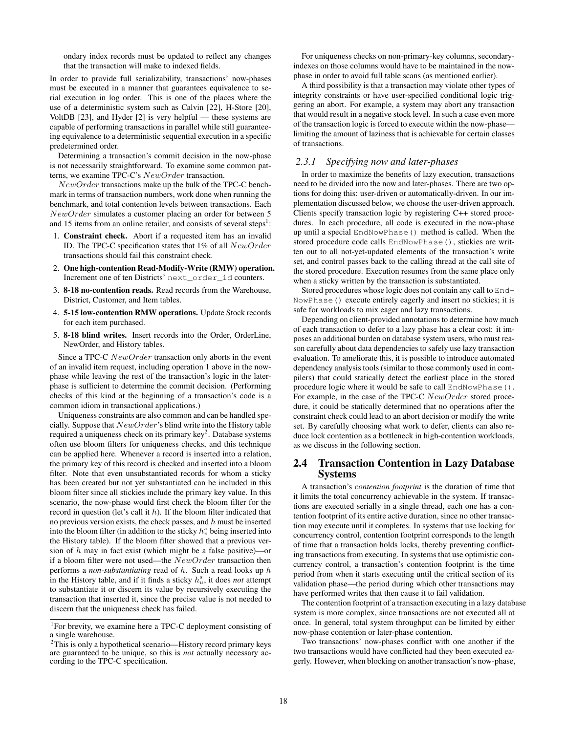ondary index records must be updated to reflect any changes that the transaction will make to indexed fields.

In order to provide full serializability, transactions' now-phases must be executed in a manner that guarantees equivalence to serial execution in log order. This is one of the places where the use of a deterministic system such as Calvin [22], H-Store [20], VoltDB [23], and Hyder [2] is very helpful — these systems are capable of performing transactions in parallel while still guaranteeing equivalence to a deterministic sequential execution in a specific predetermined order.

Determining a transaction's commit decision in the now-phase is not necessarily straightforward. To examine some common patterns, we examine TPC-C's NewOrder transaction.

 $NewOrder$  transactions make up the bulk of the TPC-C benchmark in terms of transaction numbers, work done when running the benchmark, and total contention levels between transactions. Each NewOrder simulates a customer placing an order for between 5 and 15 items from an online retailer, and consists of several steps<sup>1</sup>:

- 1. Constraint check. Abort if a requested item has an invalid ID. The TPC-C specification states that 1% of all NewOrder transactions should fail this constraint check.
- 2. One high-contention Read-Modify-Write (RMW) operation. Increment one of ten Districts' next\_order\_id counters.
- 3. 8-18 no-contention reads. Read records from the Warehouse, District, Customer, and Item tables.
- 4. 5-15 low-contention RMW operations. Update Stock records for each item purchased.
- 5. 8-18 blind writes. Insert records into the Order, OrderLine, NewOrder, and History tables.

Since a TPC-C NewOrder transaction only aborts in the event of an invalid item request, including operation 1 above in the nowphase while leaving the rest of the transaction's logic in the laterphase is sufficient to determine the commit decision. (Performing checks of this kind at the beginning of a transaction's code is a common idiom in transactional applications.)

Uniqueness constraints are also common and can be handled specially. Suppose that  $NewOrder$ 's blind write into the History table required a uniqueness check on its primary key<sup>2</sup>. Database systems often use bloom filters for uniqueness checks, and this technique can be applied here. Whenever a record is inserted into a relation, the primary key of this record is checked and inserted into a bloom filter. Note that even unsubstantiated records for whom a sticky has been created but not yet substantiated can be included in this bloom filter since all stickies include the primary key value. In this scenario, the now-phase would first check the bloom filter for the record in question (let's call it h). If the bloom filter indicated that no previous version exists, the check passes, and  $h$  must be inserted into the bloom filter (in addition to the sticky  $h_v^s$  being inserted into the History table). If the bloom filter showed that a previous version of  $h$  may in fact exist (which might be a false positive)—or if a bloom filter were not used—the  $NewOrder$  transaction then performs a *non-substantiating* read of h. Such a read looks up h in the History table, and if it finds a sticky  $h_u^s$ , it does *not* attempt to substantiate it or discern its value by recursively executing the transaction that inserted it, since the precise value is not needed to discern that the uniqueness check has failed.

For uniqueness checks on non-primary-key columns, secondaryindexes on those columns would have to be maintained in the nowphase in order to avoid full table scans (as mentioned earlier).

A third possibility is that a transaction may violate other types of integrity constraints or have user-specified conditional logic triggering an abort. For example, a system may abort any transaction that would result in a negative stock level. In such a case even more of the transaction logic is forced to execute within the now-phase limiting the amount of laziness that is achievable for certain classes of transactions.

# *2.3.1 Specifying now and later-phases*

In order to maximize the benefits of lazy execution, transactions need to be divided into the now and later-phases. There are two options for doing this: user-driven or automatically-driven. In our implementation discussed below, we choose the user-driven approach. Clients specify transaction logic by registering C++ stored procedures. In each procedure, all code is executed in the now-phase up until a special EndNowPhase() method is called. When the stored procedure code calls EndNowPhase(), stickies are written out to all not-yet-updated elements of the transaction's write set, and control passes back to the calling thread at the call site of the stored procedure. Execution resumes from the same place only when a sticky written by the transaction is substantiated.

Stored procedures whose logic does not contain any call to End-NowPhase() execute entirely eagerly and insert no stickies; it is safe for workloads to mix eager and lazy transactions.

Depending on client-provided annotations to determine how much of each transaction to defer to a lazy phase has a clear cost: it imposes an additional burden on database system users, who must reason carefully about data dependencies to safely use lazy transaction evaluation. To ameliorate this, it is possible to introduce automated dependency analysis tools (similar to those commonly used in compilers) that could statically detect the earliest place in the stored procedure logic where it would be safe to call EndNowPhase(). For example, in the case of the TPC-C  $NewOrder$  stored procedure, it could be statically determined that no operations after the constraint check could lead to an abort decision or modify the write set. By carefully choosing what work to defer, clients can also reduce lock contention as a bottleneck in high-contention workloads, as we discuss in the following section.

### 2.4 Transaction Contention in Lazy Database Systems

A transaction's *contention footprint* is the duration of time that it limits the total concurrency achievable in the system. If transactions are executed serially in a single thread, each one has a contention footprint of its entire active duration, since no other transaction may execute until it completes. In systems that use locking for concurrency control, contention footprint corresponds to the length of time that a transaction holds locks, thereby preventing conflicting transactions from executing. In systems that use optimistic concurrency control, a transaction's contention footprint is the time period from when it starts executing until the critical section of its validation phase—the period during which other transactions may have performed writes that then cause it to fail validation.

The contention footprint of a transaction executing in a lazy database system is more complex, since transactions are not executed all at once. In general, total system throughput can be limited by either now-phase contention or later-phase contention.

Two transactions' now-phases conflict with one another if the two transactions would have conflicted had they been executed eagerly. However, when blocking on another transaction's now-phase,

<sup>&</sup>lt;sup>1</sup>For brevity, we examine here a TPC-C deployment consisting of a single warehouse.

<sup>&</sup>lt;sup>2</sup>This is only a hypothetical scenario—History record primary keys are guaranteed to be unique, so this is *not* actually necessary according to the TPC-C specification.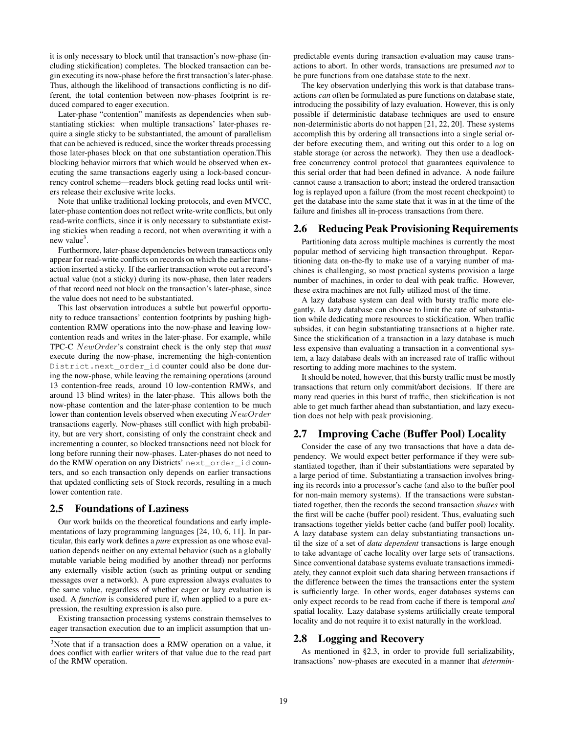it is only necessary to block until that transaction's now-phase (including stickification) completes. The blocked transaction can begin executing its now-phase before the first transaction's later-phase. Thus, although the likelihood of transactions conflicting is no different, the total contention between now-phases footprint is reduced compared to eager execution.

Later-phase "contention" manifests as dependencies when substantiating stickies: when multiple transactions' later-phases require a single sticky to be substantiated, the amount of parallelism that can be achieved is reduced, since the worker threads processing those later-phases block on that one substantiation operation.This blocking behavior mirrors that which would be observed when executing the same transactions eagerly using a lock-based concurrency control scheme—readers block getting read locks until writers release their exclusive write locks.

Note that unlike traditional locking protocols, and even MVCC, later-phase contention does not reflect write-write conflicts, but only read-write conflicts, since it is only necessary to substantiate existing stickies when reading a record, not when overwriting it with a new value<sup>3</sup>.

Furthermore, later-phase dependencies between transactions only appear for read-write conflicts on records on which the earlier transaction inserted a sticky. If the earlier transaction wrote out a record's actual value (not a sticky) during its now-phase, then later readers of that record need not block on the transaction's later-phase, since the value does not need to be substantiated.

This last observation introduces a subtle but powerful opportunity to reduce transactions' contention footprints by pushing highcontention RMW operations into the now-phase and leaving lowcontention reads and writes in the later-phase. For example, while TPC-C NewOrder's constraint check is the only step that *must* execute during the now-phase, incrementing the high-contention District.next\_order\_id counter could also be done during the now-phase, while leaving the remaining operations (around 13 contention-free reads, around 10 low-contention RMWs, and around 13 blind writes) in the later-phase. This allows both the now-phase contention and the later-phase contention to be much lower than contention levels observed when executing  $NewOrder$ transactions eagerly. Now-phases still conflict with high probability, but are very short, consisting of only the constraint check and incrementing a counter, so blocked transactions need not block for long before running their now-phases. Later-phases do not need to do the RMW operation on any Districts' next\_order\_id counters, and so each transaction only depends on earlier transactions that updated conflicting sets of Stock records, resulting in a much lower contention rate.

### 2.5 Foundations of Laziness

Our work builds on the theoretical foundations and early implementations of lazy programming languages [24, 10, 6, 11]. In particular, this early work defines a *pure* expression as one whose evaluation depends neither on any external behavior (such as a globally mutable variable being modified by another thread) nor performs any externally visible action (such as printing output or sending messages over a network). A pure expression always evaluates to the same value, regardless of whether eager or lazy evaluation is used. A *function* is considered pure if, when applied to a pure expression, the resulting expression is also pure.

Existing transaction processing systems constrain themselves to eager transaction execution due to an implicit assumption that unpredictable events during transaction evaluation may cause transactions to abort. In other words, transactions are presumed *not* to be pure functions from one database state to the next.

The key observation underlying this work is that database transactions *can* often be formulated as pure functions on database state, introducing the possibility of lazy evaluation. However, this is only possible if deterministic database techniques are used to ensure non-deterministic aborts do not happen [21, 22, 20]. These systems accomplish this by ordering all transactions into a single serial order before executing them, and writing out this order to a log on stable storage (or across the network). They then use a deadlockfree concurrency control protocol that guarantees equivalence to this serial order that had been defined in advance. A node failure cannot cause a transaction to abort; instead the ordered transaction log is replayed upon a failure (from the most recent checkpoint) to get the database into the same state that it was in at the time of the failure and finishes all in-process transactions from there.

### 2.6 Reducing Peak Provisioning Requirements

Partitioning data across multiple machines is currently the most popular method of servicing high transaction throughput. Repartitioning data on-the-fly to make use of a varying number of machines is challenging, so most practical systems provision a large number of machines, in order to deal with peak traffic. However, these extra machines are not fully utilized most of the time.

A lazy database system can deal with bursty traffic more elegantly. A lazy database can choose to limit the rate of substantiation while dedicating more resources to stickification. When traffic subsides, it can begin substantiating transactions at a higher rate. Since the stickification of a transaction in a lazy database is much less expensive than evaluating a transaction in a conventional system, a lazy database deals with an increased rate of traffic without resorting to adding more machines to the system.

It should be noted, however, that this bursty traffic must be mostly transactions that return only commit/abort decisions. If there are many read queries in this burst of traffic, then stickification is not able to get much farther ahead than substantiation, and lazy execution does not help with peak provisioning.

### 2.7 Improving Cache (Buffer Pool) Locality

Consider the case of any two transactions that have a data dependency. We would expect better performance if they were substantiated together, than if their substantiations were separated by a large period of time. Substantiating a transaction involves bringing its records into a processor's cache (and also to the buffer pool for non-main memory systems). If the transactions were substantiated together, then the records the second transaction *shares* with the first will be cache (buffer pool) resident. Thus, evaluating such transactions together yields better cache (and buffer pool) locality. A lazy database system can delay substantiating transactions until the size of a set of *data dependent* transactions is large enough to take advantage of cache locality over large sets of transactions. Since conventional database systems evaluate transactions immediately, they cannot exploit such data sharing between transactions if the difference between the times the transactions enter the system is sufficiently large. In other words, eager databases systems can only expect records to be read from cache if there is temporal *and* spatial locality. Lazy database systems artificially create temporal locality and do not require it to exist naturally in the workload.

### 2.8 Logging and Recovery

As mentioned in §2.3, in order to provide full serializability, transactions' now-phases are executed in a manner that *determin-*

<sup>&</sup>lt;sup>3</sup>Note that if a transaction does a RMW operation on a value, it does conflict with earlier writers of that value due to the read part of the RMW operation.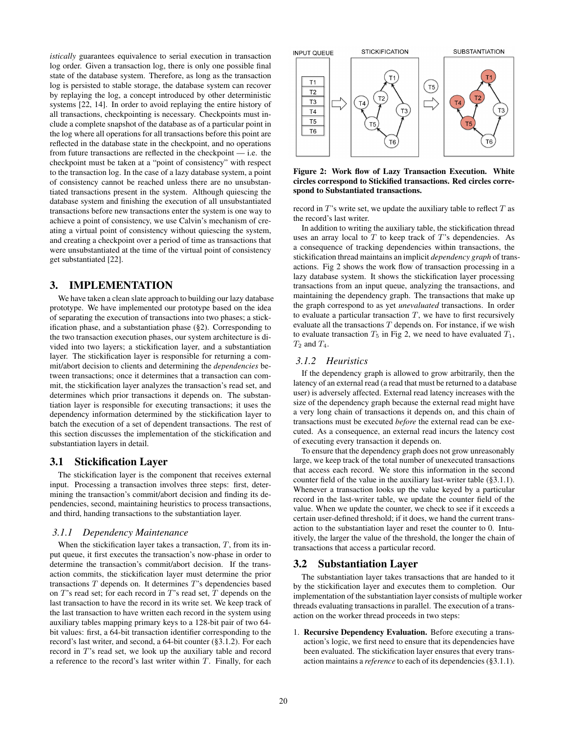*istically* guarantees equivalence to serial execution in transaction log order. Given a transaction log, there is only one possible final state of the database system. Therefore, as long as the transaction log is persisted to stable storage, the database system can recover by replaying the log, a concept introduced by other deterministic systems [22, 14]. In order to avoid replaying the entire history of all transactions, checkpointing is necessary. Checkpoints must include a complete snapshot of the database as of a particular point in the log where all operations for all transactions before this point are reflected in the database state in the checkpoint, and no operations from future transactions are reflected in the checkpoint — i.e. the checkpoint must be taken at a "point of consistency" with respect to the transaction log. In the case of a lazy database system, a point of consistency cannot be reached unless there are no unsubstantiated transactions present in the system. Although quiescing the database system and finishing the execution of all unsubstantiated transactions before new transactions enter the system is one way to achieve a point of consistency, we use Calvin's mechanism of creating a virtual point of consistency without quiescing the system, and creating a checkpoint over a period of time as transactions that were unsubstantiated at the time of the virtual point of consistency get substantiated [22].

# 3. IMPLEMENTATION

We have taken a clean slate approach to building our lazy database prototype. We have implemented our prototype based on the idea of separating the execution of transactions into two phases; a stickification phase, and a substantiation phase (§2). Corresponding to the two transaction execution phases, our system architecture is divided into two layers; a stickification layer, and a substantiation layer. The stickification layer is responsible for returning a commit/abort decision to clients and determining the *dependencies* between transactions; once it determines that a transaction can commit, the stickification layer analyzes the transaction's read set, and determines which prior transactions it depends on. The substantiation layer is responsible for executing transactions; it uses the dependency information determined by the stickification layer to batch the execution of a set of dependent transactions. The rest of this section discusses the implementation of the stickification and substantiation layers in detail.

# 3.1 Stickification Layer

The stickification layer is the component that receives external input. Processing a transaction involves three steps: first, determining the transaction's commit/abort decision and finding its dependencies, second, maintaining heuristics to process transactions, and third, handing transactions to the substantiation layer.

#### *3.1.1 Dependency Maintenance*

When the stickification layer takes a transaction,  $T$ , from its input queue, it first executes the transaction's now-phase in order to determine the transaction's commit/abort decision. If the transaction commits, the stickification layer must determine the prior transactions  $T$  depends on. It determines  $T$ 's dependencies based on  $T$ 's read set; for each record in  $T$ 's read set,  $T$  depends on the last transaction to have the record in its write set. We keep track of the last transaction to have written each record in the system using auxiliary tables mapping primary keys to a 128-bit pair of two 64 bit values: first, a 64-bit transaction identifier corresponding to the record's last writer, and second, a 64-bit counter (§3.1.2). For each record in T's read set, we look up the auxiliary table and record a reference to the record's last writer within  $T$ . Finally, for each



Figure 2: Work flow of Lazy Transaction Execution. White circles correspond to Stickified transactions. Red circles correspond to Substantiated transactions.

record in  $T$ 's write set, we update the auxiliary table to reflect  $T$  as the record's last writer.

In addition to writing the auxiliary table, the stickification thread uses an array local to  $T$  to keep track of  $T$ 's dependencies. As a consequence of tracking dependencies within transactions, the stickification thread maintains an implicit *dependency graph* of transactions. Fig 2 shows the work flow of transaction processing in a lazy database system. It shows the stickification layer processing transactions from an input queue, analyzing the transactions, and maintaining the dependency graph. The transactions that make up the graph correspond to as yet *unevaluated* transactions. In order to evaluate a particular transaction  $T$ , we have to first recursively evaluate all the transactions  $T$  depends on. For instance, if we wish to evaluate transaction  $T_5$  in Fig 2, we need to have evaluated  $T_1$ ,  $T_2$  and  $T_4$ .

# *3.1.2 Heuristics*

If the dependency graph is allowed to grow arbitrarily, then the latency of an external read (a read that must be returned to a database user) is adversely affected. External read latency increases with the size of the dependency graph because the external read might have a very long chain of transactions it depends on, and this chain of transactions must be executed *before* the external read can be executed. As a consequence, an external read incurs the latency cost of executing every transaction it depends on.

To ensure that the dependency graph does not grow unreasonably large, we keep track of the total number of unexecuted transactions that access each record. We store this information in the second counter field of the value in the auxiliary last-writer table (§3.1.1). Whenever a transaction looks up the value keyed by a particular record in the last-writer table, we update the counter field of the value. When we update the counter, we check to see if it exceeds a certain user-defined threshold; if it does, we hand the current transaction to the substantiation layer and reset the counter to 0. Intuitively, the larger the value of the threshold, the longer the chain of transactions that access a particular record.

# 3.2 Substantiation Layer

The substantiation layer takes transactions that are handed to it by the stickification layer and executes them to completion. Our implementation of the substantiation layer consists of multiple worker threads evaluating transactions in parallel. The execution of a transaction on the worker thread proceeds in two steps:

1. Recursive Dependency Evaluation. Before executing a transaction's logic, we first need to ensure that its dependencies have been evaluated. The stickification layer ensures that every transaction maintains a *reference* to each of its dependencies (§3.1.1).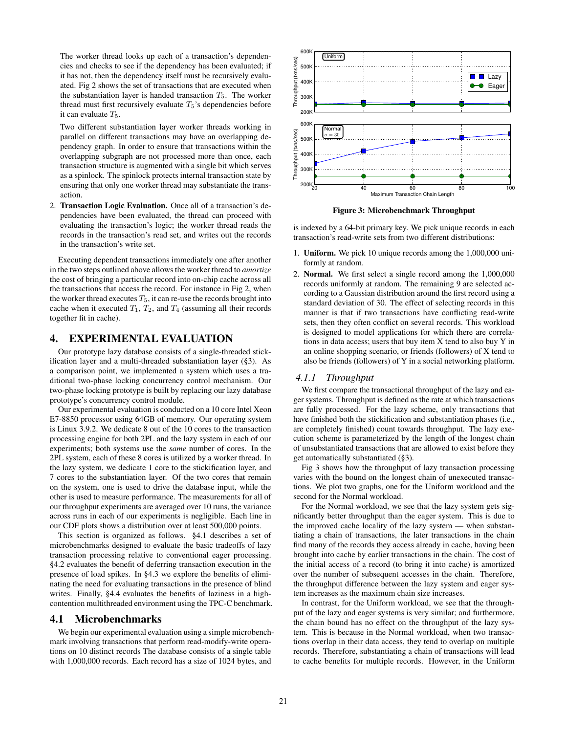The worker thread looks up each of a transaction's dependencies and checks to see if the dependency has been evaluated; if it has not, then the dependency itself must be recursively evaluated. Fig 2 shows the set of transactions that are executed when the substantiation layer is handed transaction  $T_5$ . The worker thread must first recursively evaluate  $T_5$ 's dependencies before it can evaluate  $T_5$ .

Two different substantiation layer worker threads working in parallel on different transactions may have an overlapping dependency graph. In order to ensure that transactions within the overlapping subgraph are not processed more than once, each transaction structure is augmented with a single bit which serves as a spinlock. The spinlock protects internal transaction state by ensuring that only one worker thread may substantiate the transaction.

2. Transaction Logic Evaluation. Once all of a transaction's dependencies have been evaluated, the thread can proceed with evaluating the transaction's logic; the worker thread reads the records in the transaction's read set, and writes out the records in the transaction's write set.

Executing dependent transactions immediately one after another in the two steps outlined above allows the worker thread to *amortize* the cost of bringing a particular record into on-chip cache across all the transactions that access the record. For instance in Fig 2, when the worker thread executes  $T_5$ , it can re-use the records brought into cache when it executed  $T_1$ ,  $T_2$ , and  $T_4$  (assuming all their records together fit in cache).

### 4. EXPERIMENTAL EVALUATION

Our prototype lazy database consists of a single-threaded stickification layer and a multi-threaded substantiation layer (§3). As a comparison point, we implemented a system which uses a traditional two-phase locking concurrency control mechanism. Our two-phase locking prototype is built by replacing our lazy database prototype's concurrency control module.

Our experimental evaluation is conducted on a 10 core Intel Xeon E7-8850 processor using 64GB of memory. Our operating system is Linux 3.9.2. We dedicate 8 out of the 10 cores to the transaction processing engine for both 2PL and the lazy system in each of our experiments; both systems use the *same* number of cores. In the 2PL system, each of these 8 cores is utilized by a worker thread. In the lazy system, we dedicate 1 core to the stickification layer, and 7 cores to the substantiation layer. Of the two cores that remain on the system, one is used to drive the database input, while the other is used to measure performance. The measurements for all of our throughput experiments are averaged over 10 runs, the variance across runs in each of our experiments is negligible. Each line in our CDF plots shows a distribution over at least 500,000 points.

This section is organized as follows. §4.1 describes a set of microbenchmarks designed to evaluate the basic tradeoffs of lazy transaction processing relative to conventional eager processing. §4.2 evaluates the benefit of deferring transaction execution in the presence of load spikes. In §4.3 we explore the benefits of eliminating the need for evaluating transactions in the presence of blind writes. Finally, §4.4 evaluates the benefits of laziness in a highcontention multithreaded environment using the TPC-C benchmark.

#### 4.1 Microbenchmarks

We begin our experimental evaluation using a simple microbenchmark involving transactions that perform read-modify-write operations on 10 distinct records The database consists of a single table with 1,000,000 records. Each record has a size of 1024 bytes, and



Figure 3: Microbenchmark Throughput

is indexed by a 64-bit primary key. We pick unique records in each transaction's read-write sets from two different distributions:

- 1. Uniform. We pick 10 unique records among the 1,000,000 uniformly at random.
- 2. Normal. We first select a single record among the 1,000,000 records uniformly at random. The remaining 9 are selected according to a Gaussian distribution around the first record using a standard deviation of 30. The effect of selecting records in this manner is that if two transactions have conflicting read-write sets, then they often conflict on several records. This workload is designed to model applications for which there are correlations in data access; users that buy item X tend to also buy Y in an online shopping scenario, or friends (followers) of X tend to also be friends (followers) of Y in a social networking platform.

#### *4.1.1 Throughput*

We first compare the transactional throughput of the lazy and eager systems. Throughput is defined as the rate at which transactions are fully processed. For the lazy scheme, only transactions that have finished both the stickification and substantiation phases (i.e., are completely finished) count towards throughput. The lazy execution scheme is parameterized by the length of the longest chain of unsubstantiated transactions that are allowed to exist before they get automatically substantiated (§3).

Fig 3 shows how the throughput of lazy transaction processing varies with the bound on the longest chain of unexecuted transactions. We plot two graphs, one for the Uniform workload and the second for the Normal workload.

For the Normal workload, we see that the lazy system gets significantly better throughput than the eager system. This is due to the improved cache locality of the lazy system — when substantiating a chain of transactions, the later transactions in the chain find many of the records they access already in cache, having been brought into cache by earlier transactions in the chain. The cost of the initial access of a record (to bring it into cache) is amortized over the number of subsequent accesses in the chain. Therefore, the throughput difference between the lazy system and eager system increases as the maximum chain size increases.

In contrast, for the Uniform workload, we see that the throughput of the lazy and eager systems is very similar; and furthermore, the chain bound has no effect on the throughput of the lazy system. This is because in the Normal workload, when two transactions overlap in their data access, they tend to overlap on multiple records. Therefore, substantiating a chain of transactions will lead to cache benefits for multiple records. However, in the Uniform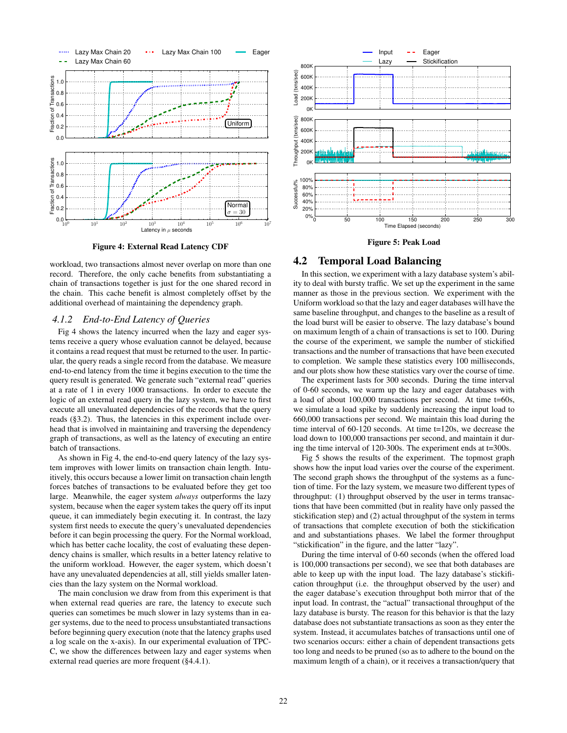

Figure 4: External Read Latency CDF

workload, two transactions almost never overlap on more than one record. Therefore, the only cache benefits from substantiating a chain of transactions together is just for the one shared record in the chain. This cache benefit is almost completely offset by the additional overhead of maintaining the dependency graph.

### *4.1.2 End-to-End Latency of Queries*

Fig 4 shows the latency incurred when the lazy and eager systems receive a query whose evaluation cannot be delayed, because it contains a read request that must be returned to the user. In particular, the query reads a single record from the database. We measure end-to-end latency from the time it begins execution to the time the query result is generated. We generate such "external read" queries at a rate of 1 in every 1000 transactions. In order to execute the logic of an external read query in the lazy system, we have to first execute all unevaluated dependencies of the records that the query reads (§3.2). Thus, the latencies in this experiment include overhead that is involved in maintaining and traversing the dependency graph of transactions, as well as the latency of executing an entire batch of transactions.

As shown in Fig 4, the end-to-end query latency of the lazy system improves with lower limits on transaction chain length. Intuitively, this occurs because a lower limit on transaction chain length forces batches of transactions to be evaluated before they get too large. Meanwhile, the eager system *always* outperforms the lazy system, because when the eager system takes the query off its input queue, it can immediately begin executing it. In contrast, the lazy system first needs to execute the query's unevaluated dependencies before it can begin processing the query. For the Normal workload, which has better cache locality, the cost of evaluating these dependency chains is smaller, which results in a better latency relative to the uniform workload. However, the eager system, which doesn't have any unevaluated dependencies at all, still yields smaller latencies than the lazy system on the Normal workload.

The main conclusion we draw from from this experiment is that when external read queries are rare, the latency to execute such queries can sometimes be much slower in lazy systems than in eager systems, due to the need to process unsubstantiated transactions before beginning query execution (note that the latency graphs used a log scale on the x-axis). In our experimental evaluation of TPC-C, we show the differences between lazy and eager systems when external read queries are more frequent (§4.4.1).



Figure 5: Peak Load

#### 4.2 Temporal Load Balancing

In this section, we experiment with a lazy database system's ability to deal with bursty traffic. We set up the experiment in the same manner as those in the previous section. We experiment with the Uniform workload so that the lazy and eager databases will have the same baseline throughput, and changes to the baseline as a result of the load burst will be easier to observe. The lazy database's bound on maximum length of a chain of transactions is set to 100. During the course of the experiment, we sample the number of stickified transactions and the number of transactions that have been executed to completion. We sample these statistics every 100 milliseconds, and our plots show how these statistics vary over the course of time.

The experiment lasts for 300 seconds. During the time interval of 0-60 seconds, we warm up the lazy and eager databases with a load of about 100,000 transactions per second. At time t=60s, we simulate a load spike by suddenly increasing the input load to 660,000 transactions per second. We maintain this load during the time interval of 60-120 seconds. At time t=120s, we decrease the load down to 100,000 transactions per second, and maintain it during the time interval of 120-300s. The experiment ends at t=300s.

Fig 5 shows the results of the experiment. The topmost graph shows how the input load varies over the course of the experiment. The second graph shows the throughput of the systems as a function of time. For the lazy system, we measure two different types of throughput: (1) throughput observed by the user in terms transactions that have been committed (but in reality have only passed the stickification step) and (2) actual throughput of the system in terms of transactions that complete execution of both the stickification and and substantiations phases. We label the former throughput "stickification" in the figure, and the latter "lazy".

During the time interval of 0-60 seconds (when the offered load is 100,000 transactions per second), we see that both databases are able to keep up with the input load. The lazy database's stickification throughput (i.e. the throughput observed by the user) and the eager database's execution throughput both mirror that of the input load. In contrast, the "actual" transactional throughput of the lazy database is bursty. The reason for this behavior is that the lazy database does not substantiate transactions as soon as they enter the system. Instead, it accumulates batches of transactions until one of two scenarios occurs: either a chain of dependent transactions gets too long and needs to be pruned (so as to adhere to the bound on the maximum length of a chain), or it receives a transaction/query that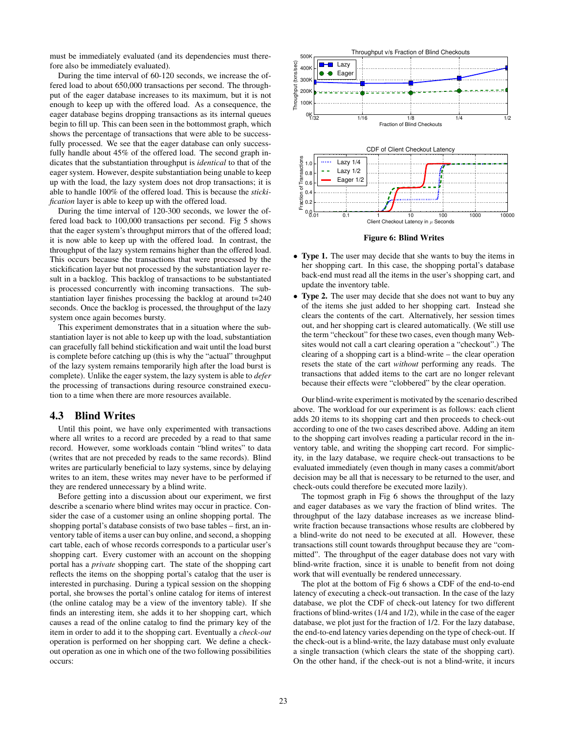must be immediately evaluated (and its dependencies must therefore also be immediately evaluated).

During the time interval of 60-120 seconds, we increase the offered load to about 650,000 transactions per second. The throughput of the eager database increases to its maximum, but it is not enough to keep up with the offered load. As a consequence, the eager database begins dropping transactions as its internal queues begin to fill up. This can been seen in the bottommost graph, which shows the percentage of transactions that were able to be successfully processed. We see that the eager database can only successfully handle about 45% of the offered load. The second graph indicates that the substantiation throughput is *identical* to that of the eager system. However, despite substantiation being unable to keep up with the load, the lazy system does not drop transactions; it is able to handle 100% of the offered load. This is because the *stickification* layer is able to keep up with the offered load.

During the time interval of 120-300 seconds, we lower the offered load back to 100,000 transactions per second. Fig 5 shows that the eager system's throughput mirrors that of the offered load; it is now able to keep up with the offered load. In contrast, the throughput of the lazy system remains higher than the offered load. This occurs because the transactions that were processed by the stickification layer but not processed by the substantiation layer result in a backlog. This backlog of transactions to be substantiated is processed concurrently with incoming transactions. The substantiation layer finishes processing the backlog at around t=240 seconds. Once the backlog is processed, the throughput of the lazy system once again becomes bursty.

This experiment demonstrates that in a situation where the substantiation layer is not able to keep up with the load, substantiation can gracefully fall behind stickification and wait until the load burst is complete before catching up (this is why the "actual" throughput of the lazy system remains temporarily high after the load burst is complete). Unlike the eager system, the lazy system is able to *defer* the processing of transactions during resource constrained execution to a time when there are more resources available.

### 4.3 Blind Writes

Until this point, we have only experimented with transactions where all writes to a record are preceded by a read to that same record. However, some workloads contain "blind writes" to data (writes that are not preceded by reads to the same records). Blind writes are particularly beneficial to lazy systems, since by delaying writes to an item, these writes may never have to be performed if they are rendered unnecessary by a blind write.

Before getting into a discussion about our experiment, we first describe a scenario where blind writes may occur in practice. Consider the case of a customer using an online shopping portal. The shopping portal's database consists of two base tables – first, an inventory table of items a user can buy online, and second, a shopping cart table, each of whose records corresponds to a particular user's shopping cart. Every customer with an account on the shopping portal has a *private* shopping cart. The state of the shopping cart reflects the items on the shopping portal's catalog that the user is interested in purchasing. During a typical session on the shopping portal, she browses the portal's online catalog for items of interest (the online catalog may be a view of the inventory table). If she finds an interesting item, she adds it to her shopping cart, which causes a read of the online catalog to find the primary key of the item in order to add it to the shopping cart. Eventually a *check-out* operation is performed on her shopping cart. We define a checkout operation as one in which one of the two following possibilities occurs:



Figure 6: Blind Writes

- Type 1. The user may decide that she wants to buy the items in her shopping cart. In this case, the shopping portal's database back-end must read all the items in the user's shopping cart, and update the inventory table.
- Type 2. The user may decide that she does not want to buy any of the items she just added to her shopping cart. Instead she clears the contents of the cart. Alternatively, her session times out, and her shopping cart is cleared automatically. (We still use the term "checkout" for these two cases, even though many Websites would not call a cart clearing operation a "checkout".) The clearing of a shopping cart is a blind-write – the clear operation resets the state of the cart *without* performing any reads. The transactions that added items to the cart are no longer relevant because their effects were "clobbered" by the clear operation.

Our blind-write experiment is motivated by the scenario described above. The workload for our experiment is as follows: each client adds 20 items to its shopping cart and then proceeds to check-out according to one of the two cases described above. Adding an item to the shopping cart involves reading a particular record in the inventory table, and writing the shopping cart record. For simplicity, in the lazy database, we require check-out transactions to be evaluated immediately (even though in many cases a commit/abort decision may be all that is necessary to be returned to the user, and check-outs could therefore be executed more lazily).

The topmost graph in Fig 6 shows the throughput of the lazy and eager databases as we vary the fraction of blind writes. The throughput of the lazy database increases as we increase blindwrite fraction because transactions whose results are clobbered by a blind-write do not need to be executed at all. However, these transactions still count towards throughput because they are "committed". The throughput of the eager database does not vary with blind-write fraction, since it is unable to benefit from not doing work that will eventually be rendered unnecessary.

The plot at the bottom of Fig 6 shows a CDF of the end-to-end latency of executing a check-out transaction. In the case of the lazy database, we plot the CDF of check-out latency for two different fractions of blind-writes (1/4 and 1/2), while in the case of the eager database, we plot just for the fraction of 1/2. For the lazy database, the end-to-end latency varies depending on the type of check-out. If the check-out is a blind-write, the lazy database must only evaluate a single transaction (which clears the state of the shopping cart). On the other hand, if the check-out is not a blind-write, it incurs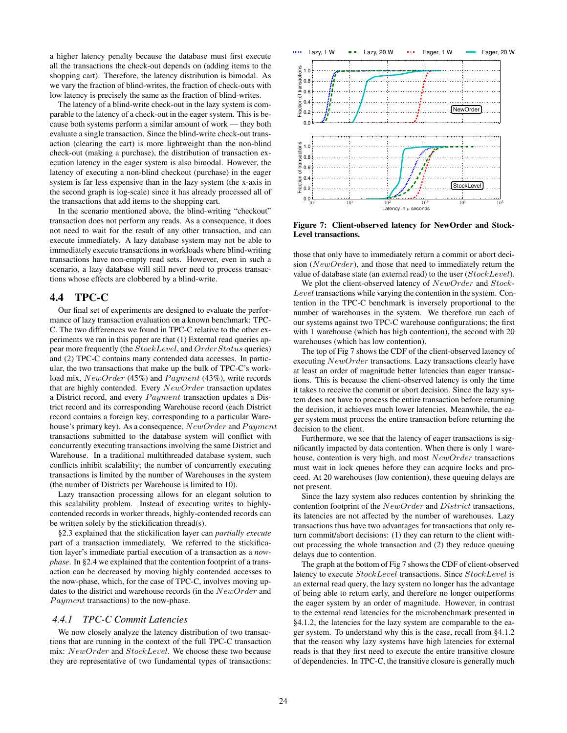a higher latency penalty because the database must first execute all the transactions the check-out depends on (adding items to the shopping cart). Therefore, the latency distribution is bimodal. As we vary the fraction of blind-writes, the fraction of check-outs with low latency is precisely the same as the fraction of blind-writes.

The latency of a blind-write check-out in the lazy system is comparable to the latency of a check-out in the eager system. This is because both systems perform a similar amount of work — they both evaluate a single transaction. Since the blind-write check-out transaction (clearing the cart) is more lightweight than the non-blind check-out (making a purchase), the distribution of transaction execution latency in the eager system is also bimodal. However, the latency of executing a non-blind checkout (purchase) in the eager system is far less expensive than in the lazy system (the x-axis in the second graph is log-scale) since it has already processed all of the transactions that add items to the shopping cart.

In the scenario mentioned above, the blind-writing "checkout" transaction does not perform any reads. As a consequence, it does not need to wait for the result of any other transaction, and can execute immediately. A lazy database system may not be able to immediately execute transactions in workloads where blind-writing transactions have non-empty read sets. However, even in such a scenario, a lazy database will still never need to process transactions whose effects are clobbered by a blind-write.

### 4.4 TPC-C

Our final set of experiments are designed to evaluate the performance of lazy transaction evaluation on a known benchmark: TPC-C. The two differences we found in TPC-C relative to the other experiments we ran in this paper are that (1) External read queries appear more frequently (the StockLevel, and OrderStatus queries) and (2) TPC-C contains many contended data accesses. In particular, the two transactions that make up the bulk of TPC-C's workload mix,  $NewOrder (45%)$  and  $Payment (43%)$ , write records that are highly contended. Every  $NewOrder$  transaction updates a District record, and every  $Payment$  transaction updates a District record and its corresponding Warehouse record (each District record contains a foreign key, corresponding to a particular Warehouse's primary key). As a consequence,  $NewOrder$  and  $Payment$ transactions submitted to the database system will conflict with concurrently executing transactions involving the same District and Warehouse. In a traditional multithreaded database system, such conflicts inhibit scalability; the number of concurrently executing transactions is limited by the number of Warehouses in the system (the number of Districts per Warehouse is limited to 10).

Lazy transaction processing allows for an elegant solution to this scalability problem. Instead of executing writes to highlycontended records in worker threads, highly-contended records can be written solely by the stickification thread(s).

§2.3 explained that the stickification layer can *partially execute* part of a transaction immediately. We referred to the stickification layer's immediate partial execution of a transaction as a *nowphase*. In §2.4 we explained that the contention footprint of a transaction can be decreased by moving highly contended accesses to the now-phase, which, for the case of TPC-C, involves moving updates to the district and warehouse records (in the NewOrder and Payment transactions) to the now-phase.

#### *4.4.1 TPC-C Commit Latencies*

We now closely analyze the latency distribution of two transactions that are running in the context of the full TPC-C transaction mix: NewOrder and StockLevel. We choose these two because they are representative of two fundamental types of transactions:



Figure 7: Client-observed latency for NewOrder and Stock-Level transactions.

those that only have to immediately return a commit or abort decision ( $NewOrder$ ), and those that need to immediately return the value of database state (an external read) to the user (StockLevel).

We plot the client-observed latency of  $NewOrder$  and  $Stock-$ Level transactions while varying the contention in the system. Contention in the TPC-C benchmark is inversely proportional to the number of warehouses in the system. We therefore run each of our systems against two TPC-C warehouse configurations; the first with 1 warehouse (which has high contention), the second with 20 warehouses (which has low contention).

The top of Fig 7 shows the CDF of the client-observed latency of executing NewOrder transactions. Lazy transactions clearly have at least an order of magnitude better latencies than eager transactions. This is because the client-observed latency is only the time it takes to receive the commit or abort decision. Since the lazy system does not have to process the entire transaction before returning the decision, it achieves much lower latencies. Meanwhile, the eager system must process the entire transaction before returning the decision to the client.

Furthermore, we see that the latency of eager transactions is significantly impacted by data contention. When there is only 1 warehouse, contention is very high, and most NewOrder transactions must wait in lock queues before they can acquire locks and proceed. At 20 warehouses (low contention), these queuing delays are not present.

Since the lazy system also reduces contention by shrinking the contention footprint of the NewOrder and District transactions, its latencies are not affected by the number of warehouses. Lazy transactions thus have two advantages for transactions that only return commit/abort decisions: (1) they can return to the client without processing the whole transaction and (2) they reduce queuing delays due to contention.

The graph at the bottom of Fig 7 shows the CDF of client-observed latency to execute StockLevel transactions. Since StockLevel is an external read query, the lazy system no longer has the advantage of being able to return early, and therefore no longer outperforms the eager system by an order of magnitude. However, in contrast to the external read latencies for the microbenchmark presented in §4.1.2, the latencies for the lazy system are comparable to the eager system. To understand why this is the case, recall from §4.1.2 that the reason why lazy systems have high latencies for external reads is that they first need to execute the entire transitive closure of dependencies. In TPC-C, the transitive closure is generally much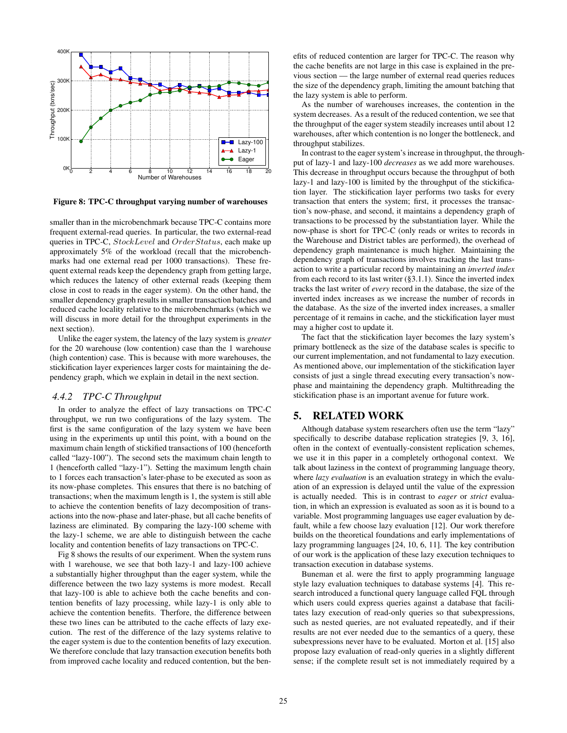

Figure 8: TPC-C throughput varying number of warehouses

smaller than in the microbenchmark because TPC-C contains more frequent external-read queries. In particular, the two external-read queries in TPC-C, StockLevel and OrderStatus, each make up approximately 5% of the workload (recall that the microbenchmarks had one external read per 1000 transactions). These frequent external reads keep the dependency graph from getting large, which reduces the latency of other external reads (keeping them close in cost to reads in the eager system). On the other hand, the smaller dependency graph results in smaller transaction batches and reduced cache locality relative to the microbenchmarks (which we will discuss in more detail for the throughput experiments in the next section).

Unlike the eager system, the latency of the lazy system is *greater* for the 20 warehouse (low contention) case than the 1 warehouse (high contention) case. This is because with more warehouses, the stickification layer experiences larger costs for maintaining the dependency graph, which we explain in detail in the next section.

## *4.4.2 TPC-C Throughput*

In order to analyze the effect of lazy transactions on TPC-C throughput, we run two configurations of the lazy system. The first is the same configuration of the lazy system we have been using in the experiments up until this point, with a bound on the maximum chain length of stickified transactions of 100 (henceforth called "lazy-100"). The second sets the maximum chain length to 1 (henceforth called "lazy-1"). Setting the maximum length chain to 1 forces each transaction's later-phase to be executed as soon as its now-phase completes. This ensures that there is no batching of transactions; when the maximum length is 1, the system is still able to achieve the contention benefits of lazy decomposition of transactions into the now-phase and later-phase, but all cache benefits of laziness are eliminated. By comparing the lazy-100 scheme with the lazy-1 scheme, we are able to distinguish between the cache locality and contention benefits of lazy transactions on TPC-C.

Fig 8 shows the results of our experiment. When the system runs with 1 warehouse, we see that both lazy-1 and lazy-100 achieve a substantially higher throughput than the eager system, while the difference between the two lazy systems is more modest. Recall that lazy-100 is able to achieve both the cache benefits and contention benefits of lazy processing, while lazy-1 is only able to achieve the contention benefits. Therfore, the difference between these two lines can be attributed to the cache effects of lazy execution. The rest of the difference of the lazy systems relative to the eager system is due to the contention benefits of lazy execution. We therefore conclude that lazy transaction execution benefits both from improved cache locality and reduced contention, but the benefits of reduced contention are larger for TPC-C. The reason why the cache benefits are not large in this case is explained in the previous section — the large number of external read queries reduces the size of the dependency graph, limiting the amount batching that the lazy system is able to perform.

As the number of warehouses increases, the contention in the system decreases. As a result of the reduced contention, we see that the throughput of the eager system steadily increases until about 12 warehouses, after which contention is no longer the bottleneck, and throughput stabilizes.

In contrast to the eager system's increase in throughput, the throughput of lazy-1 and lazy-100 *decreases* as we add more warehouses. This decrease in throughput occurs because the throughput of both lazy-1 and lazy-100 is limited by the throughput of the stickification layer. The stickification layer performs two tasks for every transaction that enters the system; first, it processes the transaction's now-phase, and second, it maintains a dependency graph of transactions to be processed by the substantiation layer. While the now-phase is short for TPC-C (only reads or writes to records in the Warehouse and District tables are performed), the overhead of dependency graph maintenance is much higher. Maintaining the dependency graph of transactions involves tracking the last transaction to write a particular record by maintaining an *inverted index* from each record to its last writer (§3.1.1). Since the inverted index tracks the last writer of *every* record in the database, the size of the inverted index increases as we increase the number of records in the database. As the size of the inverted index increases, a smaller percentage of it remains in cache, and the stickification layer must may a higher cost to update it.

The fact that the stickification layer becomes the lazy system's primary bottleneck as the size of the database scales is specific to our current implementation, and not fundamental to lazy execution. As mentioned above, our implementation of the stickification layer consists of just a single thread executing every transaction's nowphase and maintaining the dependency graph. Multithreading the stickification phase is an important avenue for future work.

# 5. RELATED WORK

Although database system researchers often use the term "lazy" specifically to describe database replication strategies [9, 3, 16], often in the context of eventually-consistent replication schemes, we use it in this paper in a completely orthogonal context. We talk about laziness in the context of programming language theory, where *lazy evaluation* is an evaluation strategy in which the evaluation of an expression is delayed until the value of the expression is actually needed. This is in contrast to *eager* or *strict* evaluation, in which an expression is evaluated as soon as it is bound to a variable. Most programming languages use eager evaluation by default, while a few choose lazy evaluation [12]. Our work therefore builds on the theoretical foundations and early implementations of lazy programming languages [24, 10, 6, 11]. The key contribution of our work is the application of these lazy execution techniques to transaction execution in database systems.

Buneman et al. were the first to apply programming language style lazy evaluation techniques to database systems [4]. This research introduced a functional query language called FQL through which users could express queries against a database that facilitates lazy execution of read-only queries so that subexpressions, such as nested queries, are not evaluated repeatedly, and if their results are not ever needed due to the semantics of a query, these subexpressions never have to be evaluated. Morton et al. [15] also propose lazy evaluation of read-only queries in a slightly different sense; if the complete result set is not immediately required by a